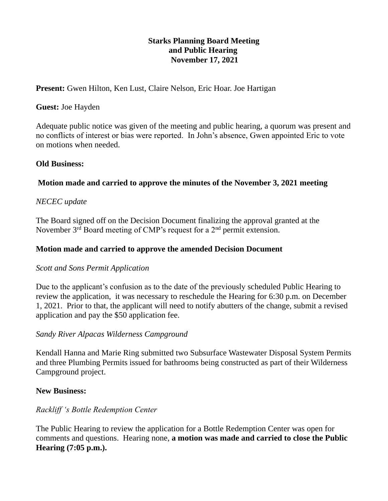### **Starks Planning Board Meeting and Public Hearing November 17, 2021**

Present: Gwen Hilton, Ken Lust, Claire Nelson, Eric Hoar. Joe Hartigan

#### **Guest:** Joe Hayden

Adequate public notice was given of the meeting and public hearing, a quorum was present and no conflicts of interest or bias were reported. In John's absence, Gwen appointed Eric to vote on motions when needed.

## **Old Business:**

# **Motion made and carried to approve the minutes of the November 3, 2021 meeting**

# *NECEC update*

The Board signed off on the Decision Document finalizing the approval granted at the November  $3<sup>rd</sup>$  Board meeting of CMP's request for a  $2<sup>nd</sup>$  permit extension.

## **Motion made and carried to approve the amended Decision Document**

#### *Scott and Sons Permit Application*

Due to the applicant's confusion as to the date of the previously scheduled Public Hearing to review the application, it was necessary to reschedule the Hearing for 6:30 p.m. on December 1, 2021. Prior to that, the applicant will need to notify abutters of the change, submit a revised application and pay the \$50 application fee.

# *Sandy River Alpacas Wilderness Campground*

Kendall Hanna and Marie Ring submitted two Subsurface Wastewater Disposal System Permits and three Plumbing Permits issued for bathrooms being constructed as part of their Wilderness Campground project.

# **New Business:**

# *Rackliff 's Bottle Redemption Center*

The Public Hearing to review the application for a Bottle Redemption Center was open for comments and questions. Hearing none, **a motion was made and carried to close the Public Hearing (7:05 p.m.).**